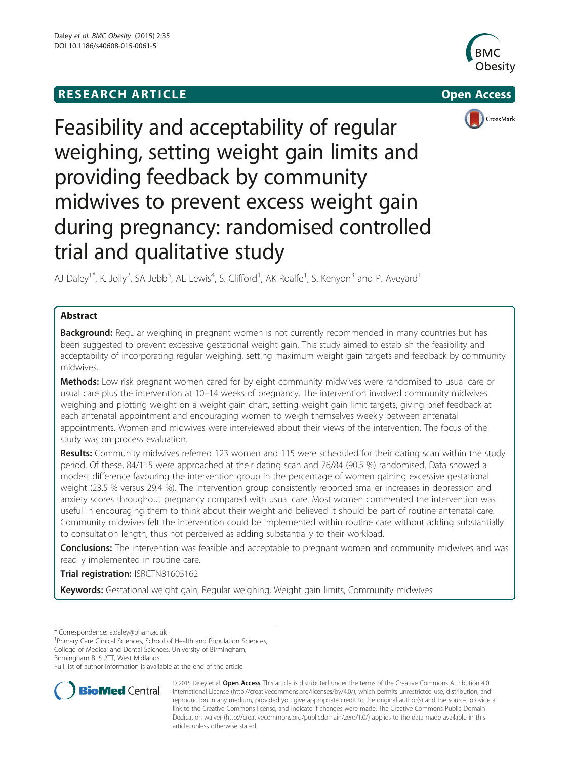# **RESEARCH ARTICLE Example 2018 12:00 THE OPEN ACCESS**







# Feasibility and acceptability of regular weighing, setting weight gain limits and providing feedback by community midwives to prevent excess weight gain during pregnancy: randomised controlled trial and qualitative study

AJ Daley<sup>1\*</sup>, K. Jolly<sup>2</sup>, SA Jebb<sup>3</sup>, AL Lewis<sup>4</sup>, S. Clifford<sup>1</sup>, AK Roalfe<sup>1</sup>, S. Kenyon<sup>3</sup> and P. Aveyard<sup>1</sup>

# Abstract

**Background:** Regular weighing in pregnant women is not currently recommended in many countries but has been suggested to prevent excessive gestational weight gain. This study aimed to establish the feasibility and acceptability of incorporating regular weighing, setting maximum weight gain targets and feedback by community midwives.

Methods: Low risk pregnant women cared for by eight community midwives were randomised to usual care or usual care plus the intervention at 10–14 weeks of pregnancy. The intervention involved community midwives weighing and plotting weight on a weight gain chart, setting weight gain limit targets, giving brief feedback at each antenatal appointment and encouraging women to weigh themselves weekly between antenatal appointments. Women and midwives were interviewed about their views of the intervention. The focus of the study was on process evaluation.

Results: Community midwives referred 123 women and 115 were scheduled for their dating scan within the study period. Of these, 84/115 were approached at their dating scan and 76/84 (90.5 %) randomised. Data showed a modest difference favouring the intervention group in the percentage of women gaining excessive gestational weight (23.5 % versus 29.4 %). The intervention group consistently reported smaller increases in depression and anxiety scores throughout pregnancy compared with usual care. Most women commented the intervention was useful in encouraging them to think about their weight and believed it should be part of routine antenatal care. Community midwives felt the intervention could be implemented within routine care without adding substantially to consultation length, thus not perceived as adding substantially to their workload.

**Conclusions:** The intervention was feasible and acceptable to pregnant women and community midwives and was readily implemented in routine care.

Trial registration: [ISRCTN81605162](http://www.controlled-trials.com/ISRCTN81605162)

Keywords: Gestational weight gain, Regular weighing, Weight gain limits, Community midwives

\* Correspondence: [a.daley@bham.ac.uk](mailto:a.daley@bham.ac.uk) <sup>1</sup>

<sup>1</sup> Primary Care Clinical Sciences, School of Health and Population Sciences, College of Medical and Dental Sciences, University of Birmingham,

Full list of author information is available at the end of the article



© 2015 Daley et al. Open Access This article is distributed under the terms of the Creative Commons Attribution 4.0 International License [\(http://creativecommons.org/licenses/by/4.0/\)](http://creativecommons.org/licenses/by/4.0/), which permits unrestricted use, distribution, and reproduction in any medium, provided you give appropriate credit to the original author(s) and the source, provide a link to the Creative Commons license, and indicate if changes were made. The Creative Commons Public Domain Dedication waiver ([http://creativecommons.org/publicdomain/zero/1.0/\)](http://creativecommons.org/publicdomain/zero/1.0/) applies to the data made available in this article, unless otherwise stated.

Birmingham B15 2TT, West Midlands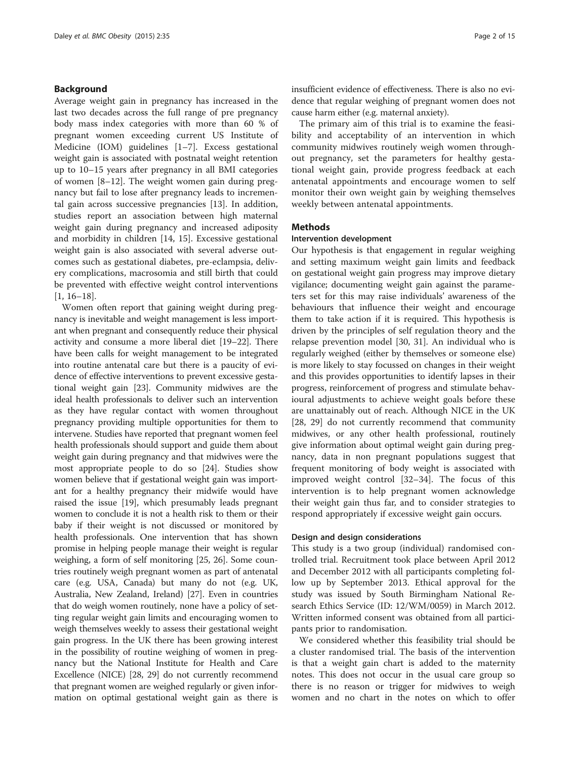# Background

Average weight gain in pregnancy has increased in the last two decades across the full range of pre pregnancy body mass index categories with more than 60 % of pregnant women exceeding current US Institute of Medicine (IOM) guidelines [[1](#page-13-0)–[7](#page-13-0)]. Excess gestational weight gain is associated with postnatal weight retention up to 10–15 years after pregnancy in all BMI categories of women [[8](#page-13-0)–[12](#page-13-0)]. The weight women gain during pregnancy but fail to lose after pregnancy leads to incremental gain across successive pregnancies [[13](#page-13-0)]. In addition, studies report an association between high maternal weight gain during pregnancy and increased adiposity and morbidity in children [[14, 15](#page-13-0)]. Excessive gestational weight gain is also associated with several adverse outcomes such as gestational diabetes, pre-eclampsia, delivery complications, macrosomia and still birth that could be prevented with effective weight control interventions [[1, 16](#page-13-0)–[18](#page-13-0)].

Women often report that gaining weight during pregnancy is inevitable and weight management is less important when pregnant and consequently reduce their physical activity and consume a more liberal diet [\[19](#page-13-0)–[22](#page-13-0)]. There have been calls for weight management to be integrated into routine antenatal care but there is a paucity of evidence of effective interventions to prevent excessive gestational weight gain [[23](#page-13-0)]. Community midwives are the ideal health professionals to deliver such an intervention as they have regular contact with women throughout pregnancy providing multiple opportunities for them to intervene. Studies have reported that pregnant women feel health professionals should support and guide them about weight gain during pregnancy and that midwives were the most appropriate people to do so [\[24\]](#page-13-0). Studies show women believe that if gestational weight gain was important for a healthy pregnancy their midwife would have raised the issue [\[19\]](#page-13-0), which presumably leads pregnant women to conclude it is not a health risk to them or their baby if their weight is not discussed or monitored by health professionals. One intervention that has shown promise in helping people manage their weight is regular weighing, a form of self monitoring [\[25, 26\]](#page-13-0). Some countries routinely weigh pregnant women as part of antenatal care (e.g. USA, Canada) but many do not (e.g. UK, Australia, New Zealand, Ireland) [[27](#page-13-0)]. Even in countries that do weigh women routinely, none have a policy of setting regular weight gain limits and encouraging women to weigh themselves weekly to assess their gestational weight gain progress. In the UK there has been growing interest in the possibility of routine weighing of women in pregnancy but the National Institute for Health and Care Excellence (NICE) [\[28, 29\]](#page-13-0) do not currently recommend that pregnant women are weighed regularly or given information on optimal gestational weight gain as there is insufficient evidence of effectiveness. There is also no evidence that regular weighing of pregnant women does not cause harm either (e.g. maternal anxiety).

The primary aim of this trial is to examine the feasibility and acceptability of an intervention in which community midwives routinely weigh women throughout pregnancy, set the parameters for healthy gestational weight gain, provide progress feedback at each antenatal appointments and encourage women to self monitor their own weight gain by weighing themselves weekly between antenatal appointments.

#### Methods

# Intervention development

Our hypothesis is that engagement in regular weighing and setting maximum weight gain limits and feedback on gestational weight gain progress may improve dietary vigilance; documenting weight gain against the parameters set for this may raise individuals' awareness of the behaviours that influence their weight and encourage them to take action if it is required. This hypothesis is driven by the principles of self regulation theory and the relapse prevention model [[30, 31](#page-13-0)]. An individual who is regularly weighed (either by themselves or someone else) is more likely to stay focussed on changes in their weight and this provides opportunities to identify lapses in their progress, reinforcement of progress and stimulate behavioural adjustments to achieve weight goals before these are unattainably out of reach. Although NICE in the UK [[28, 29](#page-13-0)] do not currently recommend that community midwives, or any other health professional, routinely give information about optimal weight gain during pregnancy, data in non pregnant populations suggest that frequent monitoring of body weight is associated with improved weight control [\[32](#page-13-0)–[34\]](#page-13-0). The focus of this intervention is to help pregnant women acknowledge their weight gain thus far, and to consider strategies to respond appropriately if excessive weight gain occurs.

#### Design and design considerations

This study is a two group (individual) randomised controlled trial. Recruitment took place between April 2012 and December 2012 with all participants completing follow up by September 2013. Ethical approval for the study was issued by South Birmingham National Research Ethics Service (ID: 12/WM/0059) in March 2012. Written informed consent was obtained from all participants prior to randomisation.

We considered whether this feasibility trial should be a cluster randomised trial. The basis of the intervention is that a weight gain chart is added to the maternity notes. This does not occur in the usual care group so there is no reason or trigger for midwives to weigh women and no chart in the notes on which to offer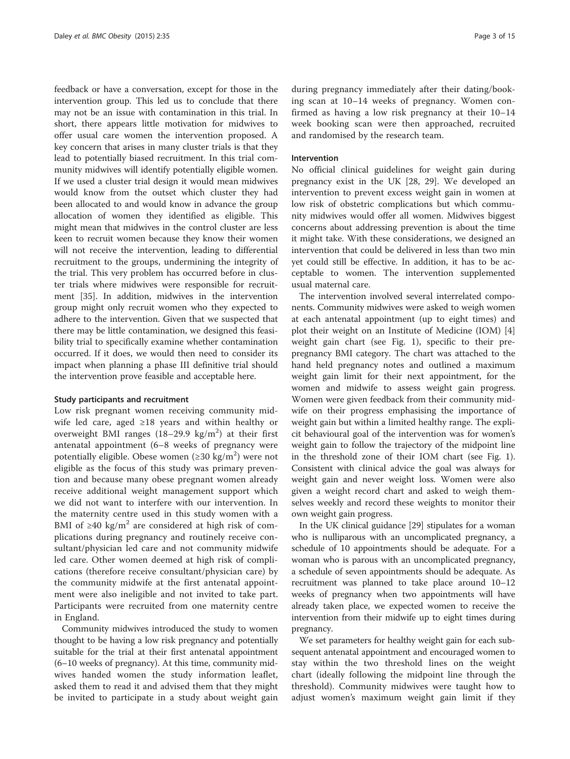feedback or have a conversation, except for those in the intervention group. This led us to conclude that there may not be an issue with contamination in this trial. In short, there appears little motivation for midwives to offer usual care women the intervention proposed. A key concern that arises in many cluster trials is that they lead to potentially biased recruitment. In this trial community midwives will identify potentially eligible women. If we used a cluster trial design it would mean midwives would know from the outset which cluster they had been allocated to and would know in advance the group allocation of women they identified as eligible. This might mean that midwives in the control cluster are less keen to recruit women because they know their women will not receive the intervention, leading to differential recruitment to the groups, undermining the integrity of the trial. This very problem has occurred before in cluster trials where midwives were responsible for recruitment [[35\]](#page-13-0). In addition, midwives in the intervention group might only recruit women who they expected to adhere to the intervention. Given that we suspected that there may be little contamination, we designed this feasibility trial to specifically examine whether contamination occurred. If it does, we would then need to consider its impact when planning a phase III definitive trial should the intervention prove feasible and acceptable here.

#### Study participants and recruitment

Low risk pregnant women receiving community midwife led care, aged ≥18 years and within healthy or overweight BMI ranges  $(18-29.9 \text{ kg/m}^2)$  at their first antenatal appointment (6–8 weeks of pregnancy were potentially eligible. Obese women (≥30 kg/m<sup>2</sup>) were not eligible as the focus of this study was primary prevention and because many obese pregnant women already receive additional weight management support which we did not want to interfere with our intervention. In the maternity centre used in this study women with a BMI of  $\geq 40$  kg/m<sup>2</sup> are considered at high risk of complications during pregnancy and routinely receive consultant/physician led care and not community midwife led care. Other women deemed at high risk of complications (therefore receive consultant/physician care) by the community midwife at the first antenatal appointment were also ineligible and not invited to take part. Participants were recruited from one maternity centre in England.

Community midwives introduced the study to women thought to be having a low risk pregnancy and potentially suitable for the trial at their first antenatal appointment (6–10 weeks of pregnancy). At this time, community midwives handed women the study information leaflet, asked them to read it and advised them that they might be invited to participate in a study about weight gain

during pregnancy immediately after their dating/booking scan at 10–14 weeks of pregnancy. Women confirmed as having a low risk pregnancy at their 10–14 week booking scan were then approached, recruited and randomised by the research team.

#### Intervention

No official clinical guidelines for weight gain during pregnancy exist in the UK [\[28, 29\]](#page-13-0). We developed an intervention to prevent excess weight gain in women at low risk of obstetric complications but which community midwives would offer all women. Midwives biggest concerns about addressing prevention is about the time it might take. With these considerations, we designed an intervention that could be delivered in less than two min yet could still be effective. In addition, it has to be acceptable to women. The intervention supplemented usual maternal care.

The intervention involved several interrelated components. Community midwives were asked to weigh women at each antenatal appointment (up to eight times) and plot their weight on an Institute of Medicine (IOM) [[4](#page-13-0)] weight gain chart (see Fig. [1\)](#page-3-0), specific to their prepregnancy BMI category. The chart was attached to the hand held pregnancy notes and outlined a maximum weight gain limit for their next appointment, for the women and midwife to assess weight gain progress. Women were given feedback from their community midwife on their progress emphasising the importance of weight gain but within a limited healthy range. The explicit behavioural goal of the intervention was for women's weight gain to follow the trajectory of the midpoint line in the threshold zone of their IOM chart (see Fig. [1](#page-3-0)). Consistent with clinical advice the goal was always for weight gain and never weight loss. Women were also given a weight record chart and asked to weigh themselves weekly and record these weights to monitor their own weight gain progress.

In the UK clinical guidance [\[29\]](#page-13-0) stipulates for a woman who is nulliparous with an uncomplicated pregnancy, a schedule of 10 appointments should be adequate. For a woman who is parous with an uncomplicated pregnancy, a schedule of seven appointments should be adequate. As recruitment was planned to take place around 10–12 weeks of pregnancy when two appointments will have already taken place, we expected women to receive the intervention from their midwife up to eight times during pregnancy.

We set parameters for healthy weight gain for each subsequent antenatal appointment and encouraged women to stay within the two threshold lines on the weight chart (ideally following the midpoint line through the threshold). Community midwives were taught how to adjust women's maximum weight gain limit if they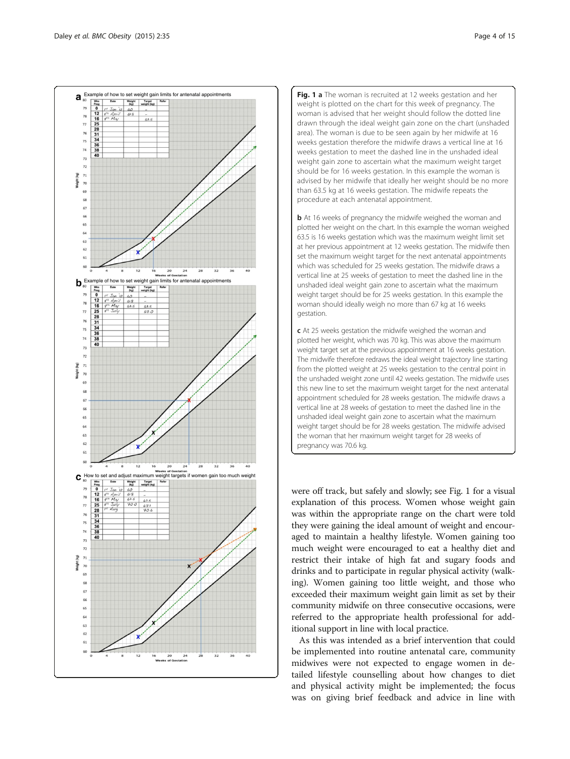<span id="page-3-0"></span>

Fig. 1 a The woman is recruited at 12 weeks gestation and her weight is plotted on the chart for this week of pregnancy. The woman is advised that her weight should follow the dotted line drawn through the ideal weight gain zone on the chart (unshaded area). The woman is due to be seen again by her midwife at 16 weeks gestation therefore the midwife draws a vertical line at 16 weeks gestation to meet the dashed line in the unshaded ideal weight gain zone to ascertain what the maximum weight target should be for 16 weeks gestation. In this example the woman is advised by her midwife that ideally her weight should be no more than 63.5 kg at 16 weeks gestation. The midwife repeats the procedure at each antenatal appointment.

**b** At 16 weeks of pregnancy the midwife weighed the woman and plotted her weight on the chart. In this example the woman weighed 63.5 is 16 weeks gestation which was the maximum weight limit set at her previous appointment at 12 weeks gestation. The midwife then set the maximum weight target for the next antenatal appointments which was scheduled for 25 weeks gestation. The midwife draws a vertical line at 25 weeks of gestation to meet the dashed line in the unshaded ideal weight gain zone to ascertain what the maximum weight target should be for 25 weeks gestation. In this example the woman should ideally weigh no more than 67 kg at 16 weeks gestation.

c At 25 weeks gestation the midwife weighed the woman and plotted her weight, which was 70 kg. This was above the maximum weight target set at the previous appointment at 16 weeks gestation. The midwife therefore redraws the ideal weight trajectory line starting from the plotted weight at 25 weeks gestation to the central point in the unshaded weight zone until 42 weeks gestation. The midwife uses this new line to set the maximum weight target for the next antenatal appointment scheduled for 28 weeks gestation. The midwife draws a vertical line at 28 weeks of gestation to meet the dashed line in the unshaded ideal weight gain zone to ascertain what the maximum weight target should be for 28 weeks gestation. The midwife advised the woman that her maximum weight target for 28 weeks of pregnancy was 70.6 kg.

were off track, but safely and slowly; see Fig. 1 for a visual explanation of this process. Women whose weight gain was within the appropriate range on the chart were told they were gaining the ideal amount of weight and encouraged to maintain a healthy lifestyle. Women gaining too much weight were encouraged to eat a healthy diet and restrict their intake of high fat and sugary foods and drinks and to participate in regular physical activity (walking). Women gaining too little weight, and those who exceeded their maximum weight gain limit as set by their community midwife on three consecutive occasions, were referred to the appropriate health professional for additional support in line with local practice.

As this was intended as a brief intervention that could be implemented into routine antenatal care, community midwives were not expected to engage women in detailed lifestyle counselling about how changes to diet and physical activity might be implemented; the focus was on giving brief feedback and advice in line with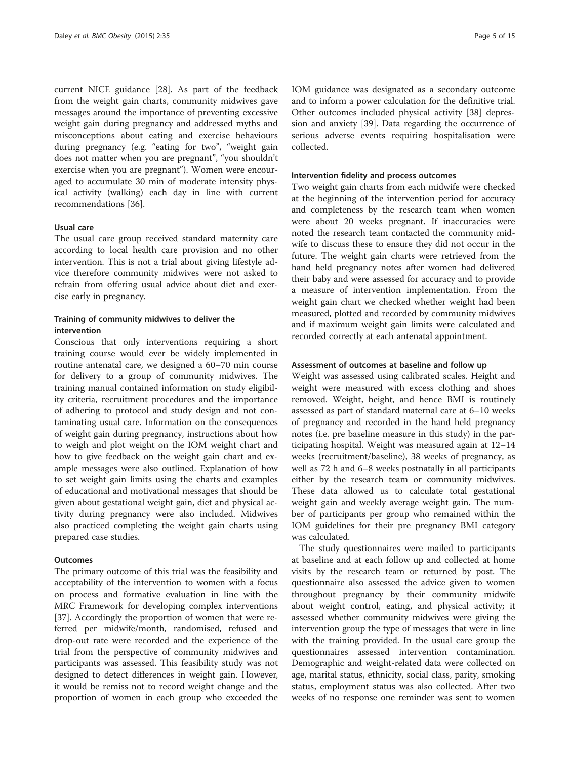current NICE guidance [\[28\]](#page-13-0). As part of the feedback from the weight gain charts, community midwives gave messages around the importance of preventing excessive weight gain during pregnancy and addressed myths and misconceptions about eating and exercise behaviours during pregnancy (e.g. "eating for two", "weight gain does not matter when you are pregnant", "you shouldn't exercise when you are pregnant"). Women were encouraged to accumulate 30 min of moderate intensity physical activity (walking) each day in line with current recommendations [\[36](#page-13-0)].

## Usual care

The usual care group received standard maternity care according to local health care provision and no other intervention. This is not a trial about giving lifestyle advice therefore community midwives were not asked to refrain from offering usual advice about diet and exercise early in pregnancy.

# Training of community midwives to deliver the intervention

Conscious that only interventions requiring a short training course would ever be widely implemented in routine antenatal care, we designed a 60–70 min course for delivery to a group of community midwives. The training manual contained information on study eligibility criteria, recruitment procedures and the importance of adhering to protocol and study design and not contaminating usual care. Information on the consequences of weight gain during pregnancy, instructions about how to weigh and plot weight on the IOM weight chart and how to give feedback on the weight gain chart and example messages were also outlined. Explanation of how to set weight gain limits using the charts and examples of educational and motivational messages that should be given about gestational weight gain, diet and physical activity during pregnancy were also included. Midwives also practiced completing the weight gain charts using prepared case studies.

## **Outcomes**

The primary outcome of this trial was the feasibility and acceptability of the intervention to women with a focus on process and formative evaluation in line with the MRC Framework for developing complex interventions [[37\]](#page-13-0). Accordingly the proportion of women that were referred per midwife/month, randomised, refused and drop-out rate were recorded and the experience of the trial from the perspective of community midwives and participants was assessed. This feasibility study was not designed to detect differences in weight gain. However, it would be remiss not to record weight change and the proportion of women in each group who exceeded the IOM guidance was designated as a secondary outcome and to inform a power calculation for the definitive trial. Other outcomes included physical activity [[38\]](#page-13-0) depression and anxiety [\[39](#page-14-0)]. Data regarding the occurrence of serious adverse events requiring hospitalisation were collected.

#### Intervention fidelity and process outcomes

Two weight gain charts from each midwife were checked at the beginning of the intervention period for accuracy and completeness by the research team when women were about 20 weeks pregnant. If inaccuracies were noted the research team contacted the community midwife to discuss these to ensure they did not occur in the future. The weight gain charts were retrieved from the hand held pregnancy notes after women had delivered their baby and were assessed for accuracy and to provide a measure of intervention implementation. From the weight gain chart we checked whether weight had been measured, plotted and recorded by community midwives and if maximum weight gain limits were calculated and recorded correctly at each antenatal appointment.

# Assessment of outcomes at baseline and follow up

Weight was assessed using calibrated scales. Height and weight were measured with excess clothing and shoes removed. Weight, height, and hence BMI is routinely assessed as part of standard maternal care at 6–10 weeks of pregnancy and recorded in the hand held pregnancy notes (i.e. pre baseline measure in this study) in the participating hospital. Weight was measured again at 12–14 weeks (recruitment/baseline), 38 weeks of pregnancy, as well as 72 h and 6–8 weeks postnatally in all participants either by the research team or community midwives. These data allowed us to calculate total gestational weight gain and weekly average weight gain. The number of participants per group who remained within the IOM guidelines for their pre pregnancy BMI category was calculated.

The study questionnaires were mailed to participants at baseline and at each follow up and collected at home visits by the research team or returned by post. The questionnaire also assessed the advice given to women throughout pregnancy by their community midwife about weight control, eating, and physical activity; it assessed whether community midwives were giving the intervention group the type of messages that were in line with the training provided. In the usual care group the questionnaires assessed intervention contamination. Demographic and weight-related data were collected on age, marital status, ethnicity, social class, parity, smoking status, employment status was also collected. After two weeks of no response one reminder was sent to women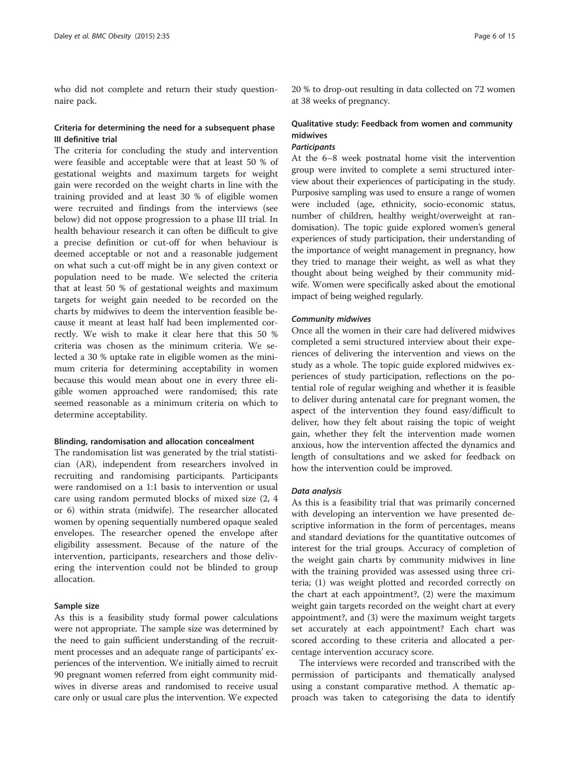who did not complete and return their study questionnaire pack.

# Criteria for determining the need for a subsequent phase III definitive trial

The criteria for concluding the study and intervention were feasible and acceptable were that at least 50 % of gestational weights and maximum targets for weight gain were recorded on the weight charts in line with the training provided and at least 30 % of eligible women were recruited and findings from the interviews (see below) did not oppose progression to a phase III trial. In health behaviour research it can often be difficult to give a precise definition or cut-off for when behaviour is deemed acceptable or not and a reasonable judgement on what such a cut-off might be in any given context or population need to be made. We selected the criteria that at least 50 % of gestational weights and maximum targets for weight gain needed to be recorded on the charts by midwives to deem the intervention feasible because it meant at least half had been implemented correctly. We wish to make it clear here that this 50 % criteria was chosen as the minimum criteria. We selected a 30 % uptake rate in eligible women as the minimum criteria for determining acceptability in women because this would mean about one in every three eligible women approached were randomised; this rate seemed reasonable as a minimum criteria on which to determine acceptability.

#### Blinding, randomisation and allocation concealment

The randomisation list was generated by the trial statistician (AR), independent from researchers involved in recruiting and randomising participants. Participants were randomised on a 1:1 basis to intervention or usual care using random permuted blocks of mixed size (2, 4 or 6) within strata (midwife). The researcher allocated women by opening sequentially numbered opaque sealed envelopes. The researcher opened the envelope after eligibility assessment. Because of the nature of the intervention, participants, researchers and those delivering the intervention could not be blinded to group allocation.

## Sample size

As this is a feasibility study formal power calculations were not appropriate. The sample size was determined by the need to gain sufficient understanding of the recruitment processes and an adequate range of participants' experiences of the intervention. We initially aimed to recruit 90 pregnant women referred from eight community midwives in diverse areas and randomised to receive usual care only or usual care plus the intervention. We expected 20 % to drop-out resulting in data collected on 72 women at 38 weeks of pregnancy.

# Qualitative study: Feedback from women and community midwives

# **Participants**

At the 6–8 week postnatal home visit the intervention group were invited to complete a semi structured interview about their experiences of participating in the study. Purposive sampling was used to ensure a range of women were included (age, ethnicity, socio-economic status, number of children, healthy weight/overweight at randomisation). The topic guide explored women's general experiences of study participation, their understanding of the importance of weight management in pregnancy, how they tried to manage their weight, as well as what they thought about being weighed by their community midwife. Women were specifically asked about the emotional impact of being weighed regularly.

## Community midwives

Once all the women in their care had delivered midwives completed a semi structured interview about their experiences of delivering the intervention and views on the study as a whole. The topic guide explored midwives experiences of study participation, reflections on the potential role of regular weighing and whether it is feasible to deliver during antenatal care for pregnant women, the aspect of the intervention they found easy/difficult to deliver, how they felt about raising the topic of weight gain, whether they felt the intervention made women anxious, how the intervention affected the dynamics and length of consultations and we asked for feedback on how the intervention could be improved.

#### Data analysis

As this is a feasibility trial that was primarily concerned with developing an intervention we have presented descriptive information in the form of percentages, means and standard deviations for the quantitative outcomes of interest for the trial groups. Accuracy of completion of the weight gain charts by community midwives in line with the training provided was assessed using three criteria; (1) was weight plotted and recorded correctly on the chart at each appointment?, (2) were the maximum weight gain targets recorded on the weight chart at every appointment?, and (3) were the maximum weight targets set accurately at each appointment? Each chart was scored according to these criteria and allocated a percentage intervention accuracy score.

The interviews were recorded and transcribed with the permission of participants and thematically analysed using a constant comparative method. A thematic approach was taken to categorising the data to identify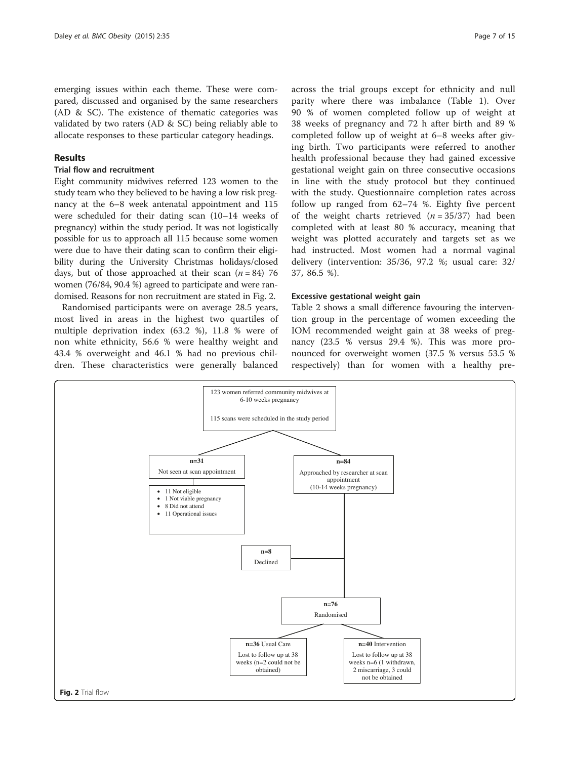emerging issues within each theme. These were compared, discussed and organised by the same researchers (AD & SC). The existence of thematic categories was validated by two raters (AD & SC) being reliably able to allocate responses to these particular category headings.

# Results

# Trial flow and recruitment

Eight community midwives referred 123 women to the study team who they believed to be having a low risk pregnancy at the 6–8 week antenatal appointment and 115 were scheduled for their dating scan (10–14 weeks of pregnancy) within the study period. It was not logistically possible for us to approach all 115 because some women were due to have their dating scan to confirm their eligibility during the University Christmas holidays/closed days, but of those approached at their scan  $(n = 84)$  76 women (76/84, 90.4 %) agreed to participate and were randomised. Reasons for non recruitment are stated in Fig. 2.

Randomised participants were on average 28.5 years, most lived in areas in the highest two quartiles of multiple deprivation index (63.2 %), 11.8 % were of non white ethnicity, 56.6 % were healthy weight and 43.4 % overweight and 46.1 % had no previous children. These characteristics were generally balanced

across the trial groups except for ethnicity and null parity where there was imbalance (Table [1\)](#page-7-0). Over 90 % of women completed follow up of weight at 38 weeks of pregnancy and 72 h after birth and 89 % completed follow up of weight at 6–8 weeks after giving birth. Two participants were referred to another health professional because they had gained excessive gestational weight gain on three consecutive occasions in line with the study protocol but they continued with the study. Questionnaire completion rates across follow up ranged from 62–74 %. Eighty five percent of the weight charts retrieved  $(n = 35/37)$  had been completed with at least 80 % accuracy, meaning that weight was plotted accurately and targets set as we had instructed. Most women had a normal vaginal delivery (intervention: 35/36, 97.2 %; usual care: 32/ 37, 86.5 %).

# Excessive gestational weight gain

Table [2](#page-7-0) shows a small difference favouring the intervention group in the percentage of women exceeding the IOM recommended weight gain at 38 weeks of pregnancy (23.5 % versus 29.4 %). This was more pronounced for overweight women (37.5 % versus 53.5 % respectively) than for women with a healthy pre-

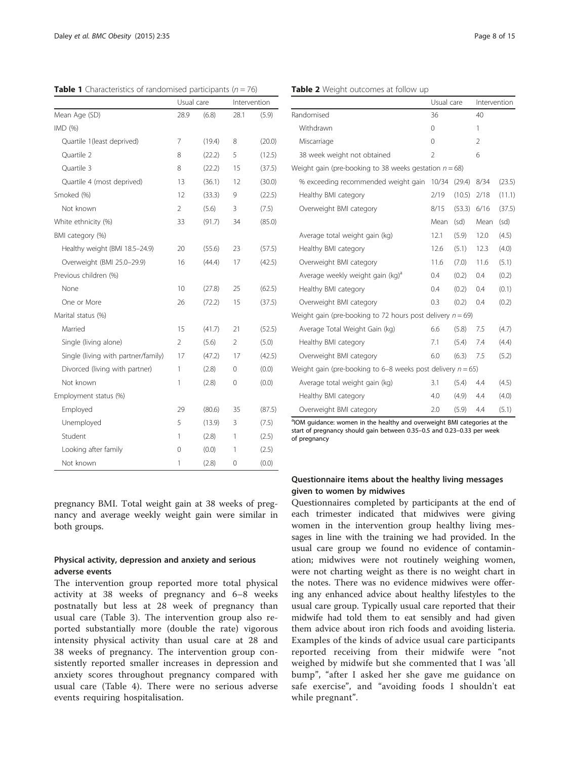<span id="page-7-0"></span>**Table 1** Characteristics of randomised participants ( $n = 76$ )

|                                     | Usual care               |        | Intervention   |        |
|-------------------------------------|--------------------------|--------|----------------|--------|
| Mean Age (SD)                       | 28.9                     | (6.8)  | 28.1           | (5.9)  |
| IMD (%)                             |                          |        |                |        |
| Quartile 1(least deprived)          | 7                        | (19.4) | 8              | (20.0) |
| Quartile 2                          | 8                        | (22.2) | 5              | (12.5) |
| Quartile 3                          | 8                        | (22.2) | 15             | (37.5) |
| Quartile 4 (most deprived)          | 13                       | (36.1) | 12             | (30.0) |
| Smoked (%)                          | 12                       | (33.3) | 9              | (22.5) |
| Not known                           | $\overline{\phantom{a}}$ | (5.6)  | 3              | (7.5)  |
| White ethnicity (%)                 | 33                       | (91.7) | 34             | (85.0) |
| BMI category (%)                    |                          |        |                |        |
| Healthy weight (BMI 18.5-24.9)      | 20                       | (55.6) | 23             | (57.5) |
| Overweight (BMI 25.0-29.9)          | 16                       | (44.4) | 17             | (42.5) |
| Previous children (%)               |                          |        |                |        |
| None                                | 10                       | (27.8) | 25             | (62.5) |
| One or More                         | 26                       | (72.2) | 15             | (37.5) |
| Marital status (%)                  |                          |        |                |        |
| Married                             | 15                       | (41.7) | 21             | (52.5) |
| Single (living alone)               | $\overline{2}$           | (5.6)  | $\overline{2}$ | (5.0)  |
| Single (living with partner/family) | 17                       | (47.2) | 17             | (42.5) |
| Divorced (living with partner)      | 1                        | (2.8)  | 0              | (0.0)  |
| Not known                           | 1                        | (2.8)  | 0              | (0.0)  |
| Employment status (%)               |                          |        |                |        |
| Employed                            | 29                       | (80.6) | 35             | (87.5) |
| Unemployed                          | 5                        | (13.9) | 3              | (7.5)  |
| Student                             | 1                        | (2.8)  | 1              | (2.5)  |
| Looking after family                | 0                        | (0.0)  | 1              | (2.5)  |
| Not known                           | 1                        | (2.8)  | 0              | (0.0)  |

pregnancy BMI. Total weight gain at 38 weeks of pregnancy and average weekly weight gain were similar in both groups.

# Physical activity, depression and anxiety and serious adverse events

The intervention group reported more total physical activity at 38 weeks of pregnancy and 6–8 weeks postnatally but less at 28 week of pregnancy than usual care (Table [3](#page-8-0)). The intervention group also reported substantially more (double the rate) vigorous intensity physical activity than usual care at 28 and 38 weeks of pregnancy. The intervention group consistently reported smaller increases in depression and anxiety scores throughout pregnancy compared with usual care (Table [4\)](#page-9-0). There were no serious adverse events requiring hospitalisation.

|                                                                | Usual care |        | Intervention   |        |
|----------------------------------------------------------------|------------|--------|----------------|--------|
| Randomised                                                     | 36         |        | 40             |        |
| Withdrawn                                                      | 0          |        | 1              |        |
| Miscarriage                                                    | 0          |        | $\overline{2}$ |        |
| 38 week weight not obtained                                    | 2          |        | 6              |        |
| Weight gain (pre-booking to 38 weeks gestation $n = 68$ )      |            |        |                |        |
| % exceeding recommended weight gain                            | 10/34      | (29.4) | 8/34           | (23.5) |
| Healthy BMI category                                           | 2/19       | (10.5) | 2/18           | (11.1) |
| Overweight BMI category                                        | 8/15       | (53.3) | 6/16           | (37.5) |
|                                                                | Mean       | (sd)   | Mean           | (sd)   |
| Average total weight gain (kg)                                 | 12.1       | (5.9)  | 12.0           | (4.5)  |
| Healthy BMI category                                           | 12.6       | (5.1)  | 12.3           | (4.0)  |
| Overweight BMI category                                        | 11.6       | (7.0)  | 11.6           | (5.1)  |
| Average weekly weight gain (kg) <sup>a</sup>                   | 0.4        | (0.2)  | 0.4            | (0.2)  |
| Healthy BMI category                                           | 0.4        | (0.2)  | 0.4            | (0.1)  |
| Overweight BMI category                                        | 0.3        | (0.2)  | 0.4            | (0.2)  |
| Weight gain (pre-booking to 72 hours post delivery $n = 69$ )  |            |        |                |        |
| Average Total Weight Gain (kg)                                 | 6.6        | (5.8)  | 7.5            | (4.7)  |
| Healthy BMI category                                           | 7.1        | (5.4)  | 7.4            | (4.4)  |
| Overweight BMI category                                        | 6.0        | (6.3)  | 7.5            | (5.2)  |
| Weight gain (pre-booking to 6–8 weeks post delivery $n = 65$ ) |            |        |                |        |
| Average total weight gain (kg)                                 | 3.1        | (5.4)  | 4.4            | (4.5)  |
| Healthy BMI category                                           | 4.0        | (4.9)  | 4.4            | (4.0)  |
| Overweight BMI category                                        | 2.0        | (5.9)  | 4.4            | (5.1)  |

<sup>a</sup>IOM guidance: women in the healthy and overweight BMI categories at the start of pregnancy should gain between 0.35–0.5 and 0.23–0.33 per week of pregnancy

# Questionnaire items about the healthy living messages given to women by midwives

Questionnaires completed by participants at the end of each trimester indicated that midwives were giving women in the intervention group healthy living messages in line with the training we had provided. In the usual care group we found no evidence of contamination; midwives were not routinely weighing women, were not charting weight as there is no weight chart in the notes. There was no evidence midwives were offering any enhanced advice about healthy lifestyles to the usual care group. Typically usual care reported that their midwife had told them to eat sensibly and had given them advice about iron rich foods and avoiding listeria. Examples of the kinds of advice usual care participants reported receiving from their midwife were "not weighed by midwife but she commented that I was 'all bump", "after I asked her she gave me guidance on safe exercise", and "avoiding foods I shouldn't eat while pregnant".

#### Table 2 Weight outcomes at follow up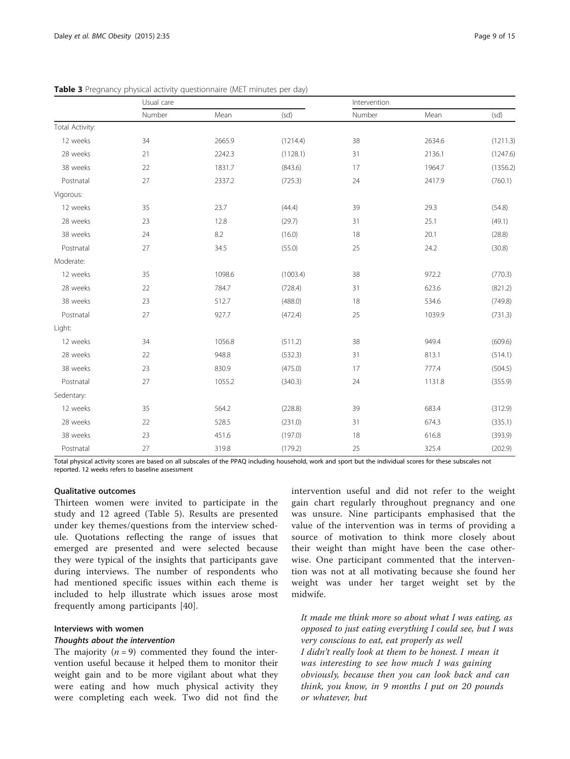|                 | Usual care |        | Intervention |        |        |          |
|-----------------|------------|--------|--------------|--------|--------|----------|
|                 | Number     | Mean   | (sd)         | Number | Mean   | (sd)     |
| Total Activity: |            |        |              |        |        |          |
| 12 weeks        | 34         | 2665.9 | (1214.4)     | 38     | 2634.6 | (1211.3) |
| 28 weeks        | 21         | 2242.3 | (1128.1)     | 31     | 2136.1 | (1247.6) |
| 38 weeks        | 22         | 1831.7 | (843.6)      | 17     | 1964.7 | (1356.2) |
| Postnatal       | 27         | 2337.2 | (725.3)      | 24     | 2417.9 | (760.1)  |
| Vigorous:       |            |        |              |        |        |          |
| 12 weeks        | 35         | 23.7   | (44.4)       | 39     | 29.3   | (54.8)   |
| 28 weeks        | 23         | 12.8   | (29.7)       | 31     | 25.1   | (49.1)   |
| 38 weeks        | 24         | 8.2    | (16.0)       | 18     | 20.1   | (28.8)   |
| Postnatal       | 27         | 34.5   | (55.0)       | 25     | 24.2   | (30.8)   |
| Moderate:       |            |        |              |        |        |          |
| 12 weeks        | 35         | 1098.6 | (1003.4)     | 38     | 972.2  | (770.3)  |
| 28 weeks        | 22         | 784.7  | (728.4)      | 31     | 623.6  | (821.2)  |
| 38 weeks        | 23         | 512.7  | (488.0)      | 18     | 534.6  | (749.8)  |
| Postnatal       | 27         | 927.7  | (472.4)      | 25     | 1039.9 | (731.3)  |
| Light:          |            |        |              |        |        |          |
| 12 weeks        | 34         | 1056.8 | (511.2)      | 38     | 949.4  | (609.6)  |
| 28 weeks        | 22         | 948.8  | (532.3)      | 31     | 813.1  | (514.1)  |
| 38 weeks        | 23         | 830.9  | (475.0)      | 17     | 777.4  | (504.5)  |
| Postnatal       | 27         | 1055.2 | (340.3)      | 24     | 1131.8 | (355.9)  |
| Sedentary:      |            |        |              |        |        |          |
| 12 weeks        | 35         | 564.2  | (228.8)      | 39     | 683.4  | (312.9)  |
| 28 weeks        | 22         | 528.5  | (231.0)      | 31     | 674.3  | (335.1)  |
| 38 weeks        | 23         | 451.6  | (197.0)      | 18     | 616.8  | (393.9)  |
| Postnatal       | 27         | 319.8  | (179.2)      | 25     | 325.4  | (202.9)  |

<span id="page-8-0"></span>Table 3 Pregnancy physical activity questionnaire (MET minutes per day)

Total physical activity scores are based on all subscales of the PPAQ including household, work and sport but the individual scores for these subscales not reported. 12 weeks refers to baseline assessment

# Qualitative outcomes

Thirteen women were invited to participate in the study and 12 agreed (Table [5](#page-9-0)). Results are presented under key themes/questions from the interview schedule. Quotations reflecting the range of issues that emerged are presented and were selected because they were typical of the insights that participants gave during interviews. The number of respondents who had mentioned specific issues within each theme is included to help illustrate which issues arose most frequently among participants [\[40](#page-14-0)].

# Interviews with women

# Thoughts about the intervention

The majority  $(n = 9)$  commented they found the intervention useful because it helped them to monitor their weight gain and to be more vigilant about what they were eating and how much physical activity they were completing each week. Two did not find the

intervention useful and did not refer to the weight gain chart regularly throughout pregnancy and one was unsure. Nine participants emphasised that the value of the intervention was in terms of providing a source of motivation to think more closely about their weight than might have been the case otherwise. One participant commented that the intervention was not at all motivating because she found her weight was under her target weight set by the midwife.

It made me think more so about what I was eating, as opposed to just eating everything I could see, but I was very conscious to eat, eat properly as well I didn't really look at them to be honest. I mean it was interesting to see how much I was gaining obviously, because then you can look back and can think, you know, in 9 months I put on 20 pounds or whatever, but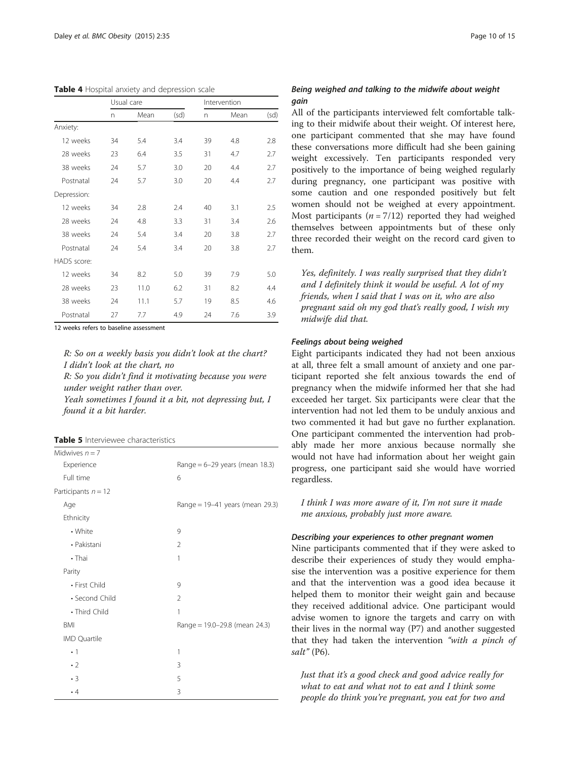<span id="page-9-0"></span>

| Table 4 Hospital anxiety and depression scale |  |  |  |  |
|-----------------------------------------------|--|--|--|--|
|-----------------------------------------------|--|--|--|--|

|             |    | Usual care |      |    | Intervention |      |
|-------------|----|------------|------|----|--------------|------|
|             | n  | Mean       | (sd) | n  | Mean         | (sd) |
| Anxiety:    |    |            |      |    |              |      |
| 12 weeks    | 34 | 5.4        | 3.4  | 39 | 4.8          | 2.8  |
| 28 weeks    | 23 | 6.4        | 3.5  | 31 | 4.7          | 2.7  |
| 38 weeks    | 24 | 5.7        | 3.0  | 20 | 4.4          | 2.7  |
| Postnatal   | 24 | 5.7        | 3.0  | 20 | 4.4          | 2.7  |
| Depression: |    |            |      |    |              |      |
| 12 weeks    | 34 | 2.8        | 2.4  | 40 | 3.1          | 2.5  |
| 28 weeks    | 24 | 4.8        | 3.3  | 31 | 3.4          | 2.6  |
| 38 weeks    | 24 | 5.4        | 3.4  | 20 | 3.8          | 2.7  |
| Postnatal   | 24 | 5.4        | 3.4  | 20 | 3.8          | 2.7  |
| HADS score: |    |            |      |    |              |      |
| 12 weeks    | 34 | 8.2        | 5.0  | 39 | 7.9          | 5.0  |
| 28 weeks    | 23 | 11.0       | 6.2  | 31 | 8.2          | 4.4  |
| 38 weeks    | 24 | 11.1       | 5.7  | 19 | 8.5          | 4.6  |
| Postnatal   | 27 | 7.7        | 4.9  | 24 | 7.6          | 3.9  |

12 weeks refers to baseline assessment

R: So on a weekly basis you didn't look at the chart? I didn't look at the chart, no R: So you didn't find it motivating because you were under weight rather than over.

Yeah sometimes I found it a bit, not depressing but, I found it a bit harder.

Table 5 Interviewee characteristics

| Midwives $n = 7$      |                                   |
|-----------------------|-----------------------------------|
| Experience            | Range = $6-29$ years (mean 18.3)  |
| Full time             | 6                                 |
| Participants $n = 12$ |                                   |
| Age                   | Range = $19-41$ years (mean 29.3) |
| Ethnicity             |                                   |
| • White               | 9                                 |
| • Pakistani           | $\overline{2}$                    |
| • Thai                | 1                                 |
| Parity                |                                   |
| • First Child         | 9                                 |
| • Second Child        | $\overline{2}$                    |
| • Third Child         | 1                                 |
| <b>BMI</b>            | Range = $19.0 - 29.8$ (mean 24.3) |
| IMD Quartile          |                                   |
| $\cdot$ 1             | 1                                 |
| $\cdot$ 2             | 3                                 |
| $\cdot$ 3             | 5                                 |
| $\cdot$ 4             | 3                                 |

# Being weighed and talking to the midwife about weight gain

All of the participants interviewed felt comfortable talking to their midwife about their weight. Of interest here, one participant commented that she may have found these conversations more difficult had she been gaining weight excessively. Ten participants responded very positively to the importance of being weighed regularly during pregnancy, one participant was positive with some caution and one responded positively but felt women should not be weighed at every appointment. Most participants ( $n = 7/12$ ) reported they had weighed themselves between appointments but of these only three recorded their weight on the record card given to them.

Yes, definitely. I was really surprised that they didn't and I definitely think it would be useful. A lot of my friends, when I said that I was on it, who are also pregnant said oh my god that's really good, I wish my midwife did that.

#### Feelings about being weighed

Eight participants indicated they had not been anxious at all, three felt a small amount of anxiety and one participant reported she felt anxious towards the end of pregnancy when the midwife informed her that she had exceeded her target. Six participants were clear that the intervention had not led them to be unduly anxious and two commented it had but gave no further explanation. One participant commented the intervention had probably made her more anxious because normally she would not have had information about her weight gain progress, one participant said she would have worried regardless.

I think I was more aware of it, I'm not sure it made me anxious, probably just more aware.

# Describing your experiences to other pregnant women

Nine participants commented that if they were asked to describe their experiences of study they would emphasise the intervention was a positive experience for them and that the intervention was a good idea because it helped them to monitor their weight gain and because they received additional advice. One participant would advise women to ignore the targets and carry on with their lives in the normal way (P7) and another suggested that they had taken the intervention "with a pinch of salt" (P6).

Just that it's a good check and good advice really for what to eat and what not to eat and I think some people do think you're pregnant, you eat for two and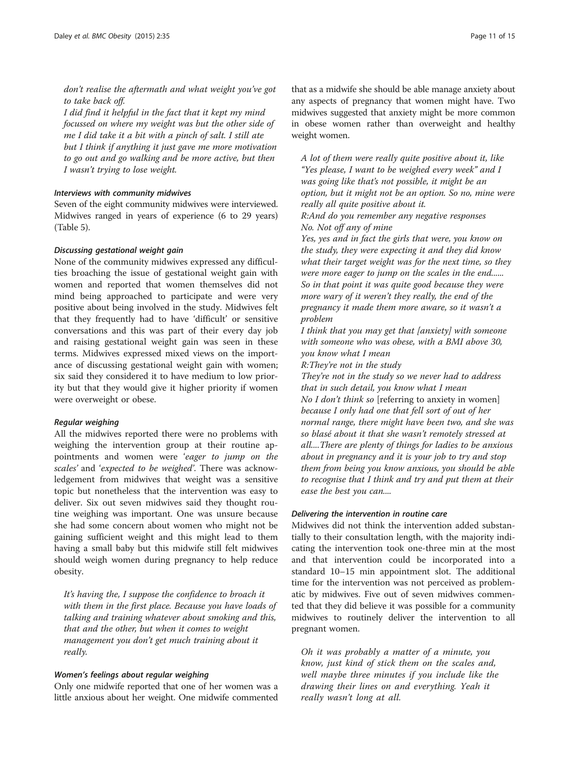don't realise the aftermath and what weight you've got to take back off.

I did find it helpful in the fact that it kept my mind focussed on where my weight was but the other side of me I did take it a bit with a pinch of salt. I still ate but I think if anything it just gave me more motivation to go out and go walking and be more active, but then I wasn't trying to lose weight.

# Interviews with community midwives

Seven of the eight community midwives were interviewed. Midwives ranged in years of experience (6 to 29 years) (Table [5](#page-9-0)).

#### Discussing gestational weight gain

None of the community midwives expressed any difficulties broaching the issue of gestational weight gain with women and reported that women themselves did not mind being approached to participate and were very positive about being involved in the study. Midwives felt that they frequently had to have 'difficult' or sensitive conversations and this was part of their every day job and raising gestational weight gain was seen in these terms. Midwives expressed mixed views on the importance of discussing gestational weight gain with women; six said they considered it to have medium to low priority but that they would give it higher priority if women were overweight or obese.

#### Regular weighing

All the midwives reported there were no problems with weighing the intervention group at their routine appointments and women were 'eager to jump on the scales' and 'expected to be weighed'. There was acknowledgement from midwives that weight was a sensitive topic but nonetheless that the intervention was easy to deliver. Six out seven midwives said they thought routine weighing was important. One was unsure because she had some concern about women who might not be gaining sufficient weight and this might lead to them having a small baby but this midwife still felt midwives should weigh women during pregnancy to help reduce obesity.

It's having the, I suppose the confidence to broach it with them in the first place. Because you have loads of talking and training whatever about smoking and this, that and the other, but when it comes to weight management you don't get much training about it really.

# Women's feelings about regular weighing

Only one midwife reported that one of her women was a little anxious about her weight. One midwife commented

that as a midwife she should be able manage anxiety about any aspects of pregnancy that women might have. Two midwives suggested that anxiety might be more common in obese women rather than overweight and healthy weight women.

A lot of them were really quite positive about it, like "Yes please, I want to be weighed every week" and I was going like that's not possible, it might be an option, but it might not be an option. So no, mine were really all quite positive about it.

R:And do you remember any negative responses No. Not off any of mine

Yes, yes and in fact the girls that were, you know on the study, they were expecting it and they did know what their target weight was for the next time, so they were more eager to jump on the scales in the end...... So in that point it was quite good because they were more wary of it weren't they really, the end of the pregnancy it made them more aware, so it wasn't a problem

I think that you may get that [anxiety] with someone with someone who was obese, with a BMI above 30, you know what I mean

R:They're not in the study

They're not in the study so we never had to address that in such detail, you know what I mean No I don't think so [referring to anxiety in women] because I only had one that fell sort of out of her normal range, there might have been two, and she was so blasé about it that she wasn't remotely stressed at all....There are plenty of things for ladies to be anxious about in pregnancy and it is your job to try and stop them from being you know anxious, you should be able to recognise that I think and try and put them at their ease the best you can....

#### Delivering the intervention in routine care

Midwives did not think the intervention added substantially to their consultation length, with the majority indicating the intervention took one-three min at the most and that intervention could be incorporated into a standard 10–15 min appointment slot. The additional time for the intervention was not perceived as problematic by midwives. Five out of seven midwives commented that they did believe it was possible for a community midwives to routinely deliver the intervention to all pregnant women.

Oh it was probably a matter of a minute, you know, just kind of stick them on the scales and, well maybe three minutes if you include like the drawing their lines on and everything. Yeah it really wasn't long at all.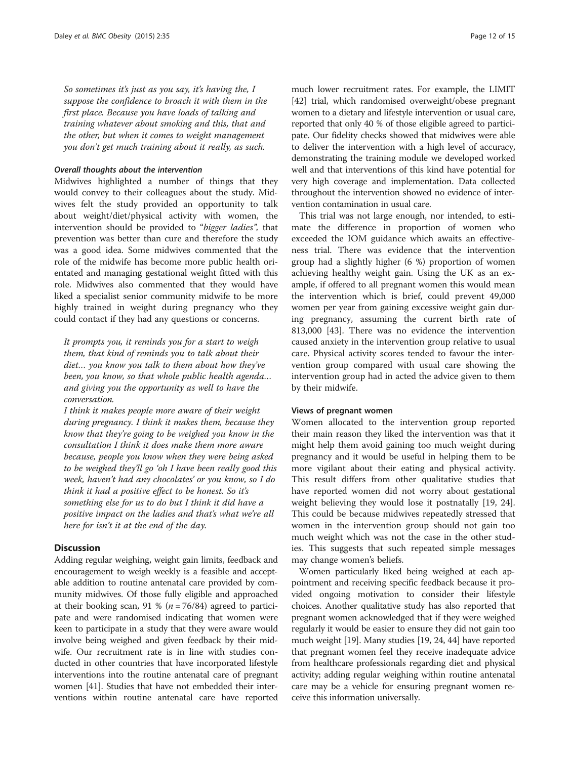So sometimes it's just as you say, it's having the, I suppose the confidence to broach it with them in the first place. Because you have loads of talking and training whatever about smoking and this, that and the other, but when it comes to weight management you don't get much training about it really, as such.

#### Overall thoughts about the intervention

Midwives highlighted a number of things that they would convey to their colleagues about the study. Midwives felt the study provided an opportunity to talk about weight/diet/physical activity with women, the intervention should be provided to "bigger ladies", that prevention was better than cure and therefore the study was a good idea. Some midwives commented that the role of the midwife has become more public health orientated and managing gestational weight fitted with this role. Midwives also commented that they would have liked a specialist senior community midwife to be more highly trained in weight during pregnancy who they could contact if they had any questions or concerns.

It prompts you, it reminds you for a start to weigh them, that kind of reminds you to talk about their diet… you know you talk to them about how they've been, you know, so that whole public health agenda… and giving you the opportunity as well to have the conversation.

I think it makes people more aware of their weight during pregnancy. I think it makes them, because they know that they're going to be weighed you know in the consultation I think it does make them more aware because, people you know when they were being asked to be weighed they'll go 'oh I have been really good this week, haven't had any chocolates' or you know, so I do think it had a positive effect to be honest. So it's something else for us to do but I think it did have a positive impact on the ladies and that's what we're all here for isn't it at the end of the day.

# **Discussion**

Adding regular weighing, weight gain limits, feedback and encouragement to weigh weekly is a feasible and acceptable addition to routine antenatal care provided by community midwives. Of those fully eligible and approached at their booking scan, 91 % ( $n = 76/84$ ) agreed to participate and were randomised indicating that women were keen to participate in a study that they were aware would involve being weighed and given feedback by their midwife. Our recruitment rate is in line with studies conducted in other countries that have incorporated lifestyle interventions into the routine antenatal care of pregnant women [[41](#page-14-0)]. Studies that have not embedded their interventions within routine antenatal care have reported

much lower recruitment rates. For example, the LIMIT [[42](#page-14-0)] trial, which randomised overweight/obese pregnant women to a dietary and lifestyle intervention or usual care, reported that only 40 % of those eligible agreed to participate. Our fidelity checks showed that midwives were able to deliver the intervention with a high level of accuracy, demonstrating the training module we developed worked well and that interventions of this kind have potential for very high coverage and implementation. Data collected throughout the intervention showed no evidence of intervention contamination in usual care.

This trial was not large enough, nor intended, to estimate the difference in proportion of women who exceeded the IOM guidance which awaits an effectiveness trial. There was evidence that the intervention group had a slightly higher (6 %) proportion of women achieving healthy weight gain. Using the UK as an example, if offered to all pregnant women this would mean the intervention which is brief, could prevent 49,000 women per year from gaining excessive weight gain during pregnancy, assuming the current birth rate of 813,000 [[43](#page-14-0)]. There was no evidence the intervention caused anxiety in the intervention group relative to usual care. Physical activity scores tended to favour the intervention group compared with usual care showing the intervention group had in acted the advice given to them by their midwife.

#### Views of pregnant women

Women allocated to the intervention group reported their main reason they liked the intervention was that it might help them avoid gaining too much weight during pregnancy and it would be useful in helping them to be more vigilant about their eating and physical activity. This result differs from other qualitative studies that have reported women did not worry about gestational weight believing they would lose it postnatally [\[19](#page-13-0), [24](#page-13-0)]. This could be because midwives repeatedly stressed that women in the intervention group should not gain too much weight which was not the case in the other studies. This suggests that such repeated simple messages may change women's beliefs.

Women particularly liked being weighed at each appointment and receiving specific feedback because it provided ongoing motivation to consider their lifestyle choices. Another qualitative study has also reported that pregnant women acknowledged that if they were weighed regularly it would be easier to ensure they did not gain too much weight [[19](#page-13-0)]. Many studies [\[19, 24](#page-13-0), [44\]](#page-14-0) have reported that pregnant women feel they receive inadequate advice from healthcare professionals regarding diet and physical activity; adding regular weighing within routine antenatal care may be a vehicle for ensuring pregnant women receive this information universally.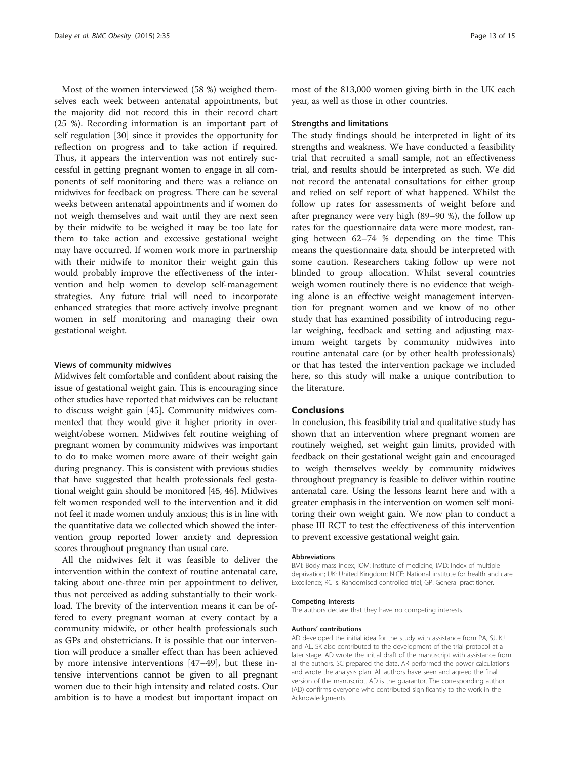Most of the women interviewed (58 %) weighed themselves each week between antenatal appointments, but the majority did not record this in their record chart (25 %). Recording information is an important part of self regulation [\[30\]](#page-13-0) since it provides the opportunity for reflection on progress and to take action if required. Thus, it appears the intervention was not entirely successful in getting pregnant women to engage in all components of self monitoring and there was a reliance on midwives for feedback on progress. There can be several weeks between antenatal appointments and if women do not weigh themselves and wait until they are next seen by their midwife to be weighed it may be too late for them to take action and excessive gestational weight may have occurred. If women work more in partnership with their midwife to monitor their weight gain this would probably improve the effectiveness of the intervention and help women to develop self-management strategies. Any future trial will need to incorporate enhanced strategies that more actively involve pregnant women in self monitoring and managing their own gestational weight.

# Views of community midwives

Midwives felt comfortable and confident about raising the issue of gestational weight gain. This is encouraging since other studies have reported that midwives can be reluctant to discuss weight gain [\[45](#page-14-0)]. Community midwives commented that they would give it higher priority in overweight/obese women. Midwives felt routine weighing of pregnant women by community midwives was important to do to make women more aware of their weight gain during pregnancy. This is consistent with previous studies that have suggested that health professionals feel gestational weight gain should be monitored [\[45, 46](#page-14-0)]. Midwives felt women responded well to the intervention and it did not feel it made women unduly anxious; this is in line with the quantitative data we collected which showed the intervention group reported lower anxiety and depression scores throughout pregnancy than usual care.

All the midwives felt it was feasible to deliver the intervention within the context of routine antenatal care, taking about one-three min per appointment to deliver, thus not perceived as adding substantially to their workload. The brevity of the intervention means it can be offered to every pregnant woman at every contact by a community midwife, or other health professionals such as GPs and obstetricians. It is possible that our intervention will produce a smaller effect than has been achieved by more intensive interventions [\[47](#page-14-0)–[49](#page-14-0)], but these intensive interventions cannot be given to all pregnant women due to their high intensity and related costs. Our ambition is to have a modest but important impact on

most of the 813,000 women giving birth in the UK each year, as well as those in other countries.

#### Strengths and limitations

The study findings should be interpreted in light of its strengths and weakness. We have conducted a feasibility trial that recruited a small sample, not an effectiveness trial, and results should be interpreted as such. We did not record the antenatal consultations for either group and relied on self report of what happened. Whilst the follow up rates for assessments of weight before and after pregnancy were very high (89–90 %), the follow up rates for the questionnaire data were more modest, ranging between 62–74 % depending on the time This means the questionnaire data should be interpreted with some caution. Researchers taking follow up were not blinded to group allocation. Whilst several countries weigh women routinely there is no evidence that weighing alone is an effective weight management intervention for pregnant women and we know of no other study that has examined possibility of introducing regular weighing, feedback and setting and adjusting maximum weight targets by community midwives into routine antenatal care (or by other health professionals) or that has tested the intervention package we included here, so this study will make a unique contribution to the literature.

# Conclusions

In conclusion, this feasibility trial and qualitative study has shown that an intervention where pregnant women are routinely weighed, set weight gain limits, provided with feedback on their gestational weight gain and encouraged to weigh themselves weekly by community midwives throughout pregnancy is feasible to deliver within routine antenatal care. Using the lessons learnt here and with a greater emphasis in the intervention on women self monitoring their own weight gain. We now plan to conduct a phase III RCT to test the effectiveness of this intervention to prevent excessive gestational weight gain.

#### Abbreviations

BMI: Body mass index; IOM: Institute of medicine; IMD: Index of multiple deprivation; UK: United Kingdom; NICE: National institute for health and care Excellence; RCTs: Randomised controlled trial; GP: General practitioner.

#### Competing interests

The authors declare that they have no competing interests.

#### Authors' contributions

AD developed the initial idea for the study with assistance from PA, SJ, KJ and AL. SK also contributed to the development of the trial protocol at a later stage. AD wrote the initial draft of the manuscript with assistance from all the authors. SC prepared the data. AR performed the power calculations and wrote the analysis plan. All authors have seen and agreed the final version of the manuscript. AD is the guarantor. The corresponding author (AD) confirms everyone who contributed significantly to the work in the Acknowledgments.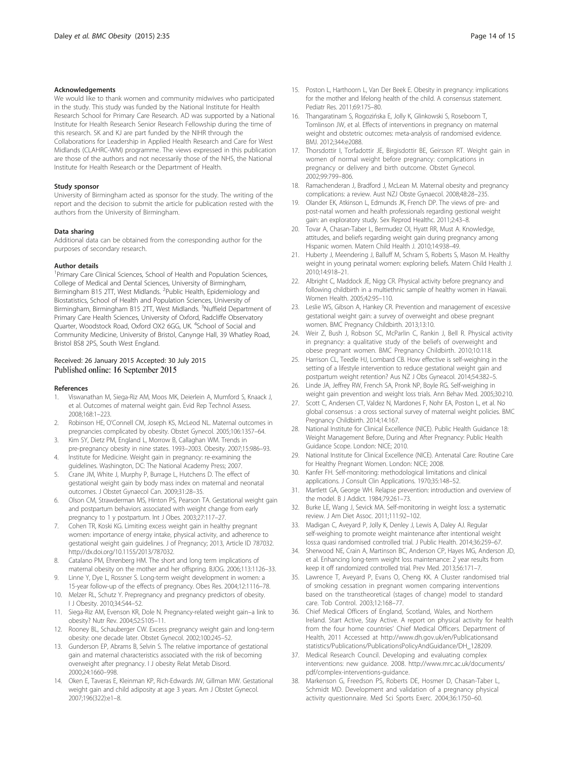#### <span id="page-13-0"></span>Acknowledgements

We would like to thank women and community midwives who participated in the study. This study was funded by the National Institute for Health Research School for Primary Care Research. AD was supported by a National Institute for Health Research Senior Research Fellowship during the time of this research. SK and KJ are part funded by the NIHR through the Collaborations for Leadership in Applied Health Research and Care for West Midlands (CLAHRC-WM) programme. The views expressed in this publication are those of the authors and not necessarily those of the NHS, the National Institute for Health Research or the Department of Health.

#### Study sponsor

University of Birmingham acted as sponsor for the study. The writing of the report and the decision to submit the article for publication rested with the authors from the University of Birmingham.

#### Data sharing

Additional data can be obtained from the corresponding author for the purposes of secondary research.

#### Author details

<sup>1</sup> Primary Care Clinical Sciences, School of Health and Population Sciences, College of Medical and Dental Sciences, University of Birmingham, Birmingham B15 2TT, West Midlands. <sup>2</sup>Public Health, Epidemiology and Biostatistics, School of Health and Population Sciences, University of Birmingham, Birmingham B15 2TT, West Midlands. <sup>3</sup>Nuffield Department of Primary Care Health Sciences, University of Oxford, Radcliffe Observatory Quarter, Woodstock Road, Oxford OX2 6GG, UK. <sup>4</sup>School of Social and Community Medicine, University of Bristol, Canynge Hall, 39 Whatley Road, Bristol BS8 2PS, South West England.

# Received: 26 January 2015 Accepted: 30 July 2015<br>Published online: 16 September 2015

#### References

- 1. Viswanathan M, Siega-Riz AM, Moos MK, Deierlein A, Mumford S, Knaack J, et al. Outcomes of maternal weight gain. Evid Rep Technol Assess. 2008;168:1–223.
- 2. Robinson HE, O'Connell CM, Joseph KS, McLeod NL. Maternal outcomes in pregnancies complicated by obesity. Obstet Gynecol. 2005;106:1357–64.
- 3. Kim SY, Dietz PM, England L, Morrow B, Callaghan WM. Trends in pre-pregnancy obesity in nine states. 1993–2003. Obesity. 2007;15:986–93.
- 4. Institute for Medicine. Weight gain in pregnancy: re-examining the guidelines. Washington, DC: The National Academy Press; 2007.
- 5. Crane JM, White J, Murphy P, Burrage L, Hutchens D. The effect of gestational weight gain by body mass index on maternal and neonatal outcomes. J Obstet Gynaecol Can. 2009;31:28–35.
- 6. Olson CM, Strawderman MS, Hinton PS, Pearson TA. Gestational weight gain and postpartum behaviors associated with weight change from early pregnancy to 1 y postpartum. Int J Obes. 2003;27:117–27.
- 7. Cohen TR, Koski KG. Limiting excess weight gain in healthy pregnant women: importance of energy intake, physical activity, and adherence to gestational weight gain guidelines. J of Pregnancy; 2013, Article ID 787032. [http://dx.doi.org/10.1155/2013/787032.](http://dx.doi.org/10.1155/2013/787032)
- 8. Catalano PM, Ehrenberg HM. The short and long term implications of maternal obesity on the mother and her offspring. BJOG. 2006;113:1126–33.
- 9. Linne Y, Dye L, Rossner S. Long-term weight development in women: a 15-year follow-up of the effects of pregnancy. Obes Res. 2004;12:1116–78.
- 10. Melzer RL, Schutz Y. Prepregnancy and pregnancy predictors of obesity. I J Obesity. 2010;34:S44–52.
- 11. Siega-Riz AM, Evenson KR, Dole N. Pregnancy-related weight gain–a link to obesity? Nutr Rev. 2004;52:S105–11.
- 12. Rooney BL, Schauberger CW. Excess pregnancy weight gain and long-term obesity: one decade later. Obstet Gynecol. 2002;100:245–52.
- 13. Gunderson EP, Abrams B, Selvin S. The relative importance of gestational gain and maternal characteristics associated with the risk of becoming overweight after pregnancy. I J obesity Relat Metab Disord. 2000;24:1660–998.
- 14. Oken E, Taveras E, Kleinman KP, Rich-Edwards JW, Gillman MW. Gestational weight gain and child adiposity at age 3 years. Am J Obstet Gynecol. 2007;196(322):e1–8.
- 15. Poston L, Harthoorn L, Van Der Beek E. Obesity in pregnancy: implications for the mother and lifelong health of the child. A consensus statement. Pediatr Res. 2011;69:175–80.
- 16. Thangaratinam S, Rogozińska E, Jolly K, Glinkowski S, Roseboom T, Tomlinson JW, et al. Effects of interventions in pregnancy on maternal weight and obstetric outcomes: meta-analysis of randomised evidence. BMJ. 2012;344:e2088.
- 17. Thorsdottir I, Torfadottir JE, Birgisdottir BE, Geirsson RT. Weight gain in women of normal weight before pregnancy: complications in pregnancy or delivery and birth outcome. Obstet Gynecol. 2002;99:799–806.
- 18. Ramachenderan J, Bradford J, McLean M. Maternal obesity and pregnancy complications: a review. Aust NZJ Obste Gynaecol. 2008;48:28–235.
- 19. Olander EK, Atkinson L, Edmunds JK, French DP. The views of pre- and post-natal women and health professionals regarding gestional weight gain: an exploratory study. Sex Reprod Healthc. 2011;2:43–8.
- 20. Tovar A, Chasan-Taber L, Bermudez OI, Hyatt RR, Must A. Knowledge, attitudes, and beliefs regarding weight gain during pregnancy among Hispanic women. Matern Child Health J. 2010;14:938–49.
- 21. Huberty J, Meendering J, Balluff M, Schram S, Roberts S, Mason M. Healthy weight in young perinatal women: exploring beliefs. Matern Child Health J. 2010;14:918–21.
- 22. Albright C, Maddock JE, Nigg CR. Physical activity before pregnancy and following childbirth in a multiethnic sample of healthy women in Hawaii. Women Health. 2005;42:95–110.
- 23. Leslie WS, Gibson A, Hankey CR. Prevention and management of excessive gestational weight gain: a survey of overweight and obese pregnant women. BMC Pregnancy Childbirth. 2013;13:10.
- 24. Weir Z, Bush J, Robson SC, McParlin C, Rankin J, Bell R. Physical activity in pregnancy: a qualitative study of the beliefs of overweight and obese pregnant women. BMC Pregnancy Childbirth. 2010;10:118.
- 25. Harrison CL, Teedle HJ, Lombard CB. How effective is self-weighing in the setting of a lifestyle intervention to reduce gestational weight gain and postpartum weight retention? Aus NZ J Obs Gyneacol. 2014;54:382–5.
- 26. Linde JA, Jeffrey RW, French SA, Pronk NP, Boyle RG. Self-weighing in weight gain prevention and weight loss trials. Ann Behav Med. 2005;30:210.
- 27. Scott C, Andersen CT, Valdez N, Mardones F, Nohr EA, Poston L, et al. No global consensus : a cross sectional survey of maternal weight policies. BMC Pregnancy Childbirth. 2014;14:167.
- 28. National Institute for Clinical Excellence (NICE). Public Health Guidance 18: Weight Management Before, During and After Pregnancy: Public Health Guidance Scope. London: NICE; 2010.
- 29. National Institute for Clinical Excellence (NICE). Antenatal Care: Routine Care for Healthy Pregnant Women. London: NICE; 2008.
- 30. Kanfer FH. Self-monitoring: methodological limitations and clinical applications. J Consult Clin Applications. 1970;35:148–52.
- 31. Martlett GA, George WH. Relapse prevention: introduction and overview of the model. B J Addict. 1984;79:261–73.
- 32. Burke LE, Wang J, Sevick MA. Self-monitoring in weight loss: a systematic review. J Am Diet Assoc. 2011;111:92–102.
- 33. Madigan C, Aveyard P, Jolly K, Denley J, Lewis A, Daley AJ. Regular self-weighing to promote weight maintenance after intentional weight loss:a quasi randomised controlled trial. J Public Health. 2014;36:259–67.
- 34. Sherwood NE, Crain A, Martinson BC, Anderson CP, Hayes MG, Anderson JD, et al. Enhancing long-term weight loss maintenance: 2 year results from keep it off randomized controlled trial. Prev Med. 2013;56:171–7.
- 35. Lawrence T, Aveyard P, Evans O, Cheng KK. A Cluster randomised trial of smoking cessation in pregnant women comparing interventions based on the transtheoretical (stages of change) model to standard care. Tob Control. 2003;12:168–77.
- 36. Chief Medical Officers of England, Scotland, Wales, and Northern Ireland. Start Active, Stay Active. A report on physical activity for health from the four home countries' Chief Medical Officers. Department of Health, 2011 Accessed at [http://www.dh.gov.uk/en/Publicationsand](http://www.dh.gov.uk/en/Publicationsandstatistics/Publications/PublicationsPolicyAndGuidance/DH_128209) [statistics/Publications/PublicationsPolicyAndGuidance/DH\\_128209](http://www.dh.gov.uk/en/Publicationsandstatistics/Publications/PublicationsPolicyAndGuidance/DH_128209).
- 37. Medical Research Council. Developing and evaluating complex interventions: new guidance. 2008. [http://www.mrc.ac.uk/documents/](http://www.mrc.ac.uk/documents/pdf/complex-interventions-guidance) [pdf/complex-interventions-guidance.](http://www.mrc.ac.uk/documents/pdf/complex-interventions-guidance)
- 38. Markenson G, Freedson PS, Roberts DE, Hosmer D, Chasan-Taber L, Schmidt MD. Development and validation of a pregnancy physical activity questionnaire. Med Sci Sports Exerc. 2004;36:1750–60.